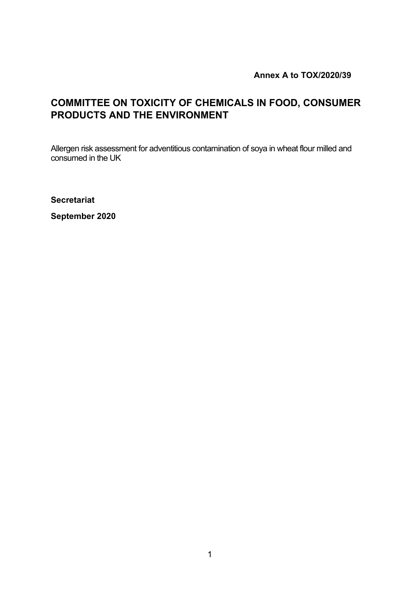**Annex A to TOX/2020/39**

## **COMMITTEE ON TOXICITY OF CHEMICALS IN FOOD, CONSUMER PRODUCTS AND THE ENVIRONMENT**

Allergen risk assessment for adventitious contamination of soya in wheat flour milled and consumed in the UK

**Secretariat**

**September 2020**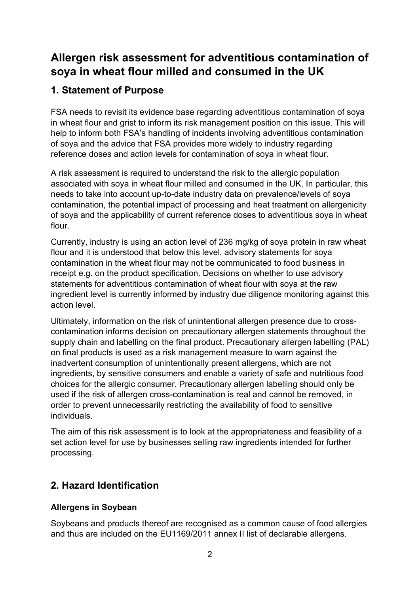# **Allergen risk assessment for adventitious contamination of soya in wheat flour milled and consumed in the UK**

## **1. Statement of Purpose**

FSA needs to revisit its evidence base regarding adventitious contamination of soya in wheat flour and grist to inform its risk management position on this issue. This will help to inform both FSA's handling of incidents involving adventitious contamination of soya and the advice that FSA provides more widely to industry regarding reference doses and action levels for contamination of soya in wheat flour.

A risk assessment is required to understand the risk to the allergic population associated with soya in wheat flour milled and consumed in the UK. In particular, this needs to take into account up-to-date industry data on prevalence/levels of soya contamination, the potential impact of processing and heat treatment on allergenicity of soya and the applicability of current reference doses to adventitious soya in wheat flour.

Currently, industry is using an action level of 236 mg/kg of soya protein in raw wheat flour and it is understood that below this level, advisory statements for soya contamination in the wheat flour may not be communicated to food business in receipt e.g. on the product specification. Decisions on whether to use advisory statements for adventitious contamination of wheat flour with soya at the raw ingredient level is currently informed by industry due diligence monitoring against this action level.

Ultimately, information on the risk of unintentional allergen presence due to crosscontamination informs decision on precautionary allergen statements throughout the supply chain and labelling on the final product. Precautionary allergen labelling (PAL) on final products is used as a risk management measure to warn against the inadvertent consumption of unintentionally present allergens, which are not ingredients, by sensitive consumers and enable a variety of safe and nutritious food choices for the allergic consumer. Precautionary allergen labelling should only be used if the risk of allergen cross-contamination is real and cannot be removed, in order to prevent unnecessarily restricting the availability of food to sensitive individuals.

The aim of this risk assessment is to look at the appropriateness and feasibility of a set action level for use by businesses selling raw ingredients intended for further processing.

## **2. Hazard Identification**

## **Allergens in Soybean**

Soybeans and products thereof are recognised as a common cause of food allergies and thus are included on the EU1169/2011 annex II list of declarable allergens.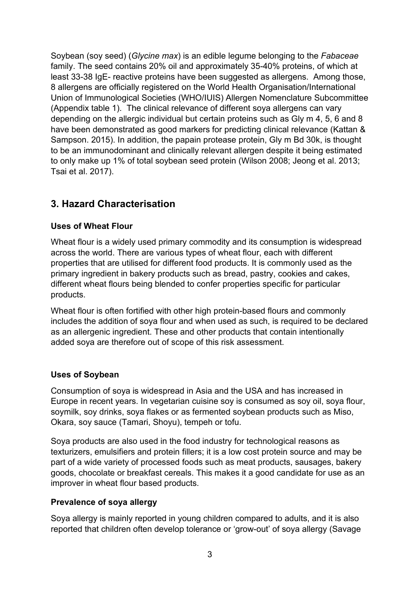Soybean (soy seed) (*Glycine max*) is an edible legume belonging to the *Fabaceae* family. The seed contains 20% oil and approximately 35-40% proteins, of which at least 33-38 IgE- reactive proteins have been suggested as allergens. Among those, 8 allergens are officially registered on the World Health Organisation/International Union of Immunological Societies (WHO/IUIS) Allergen Nomenclature Subcommittee (Appendix table 1). The clinical relevance of different soya allergens can vary depending on the allergic individual but certain proteins such as Gly m 4, 5, 6 and 8 have been demonstrated as good markers for predicting clinical relevance (Kattan & Sampson. 2015). In addition, the papain protease protein, Gly m Bd 30k, is thought to be an immunodominant and clinically relevant allergen despite it being estimated to only make up 1% of total soybean seed protein (Wilson 2008; Jeong et al. 2013; Tsai et al. 2017).

## **3. Hazard Characterisation**

### **Uses of Wheat Flour**

Wheat flour is a widely used primary commodity and its consumption is widespread across the world. There are various types of wheat flour, each with different properties that are utilised for different food products. It is commonly used as the primary ingredient in bakery products such as bread, pastry, cookies and cakes, different wheat flours being blended to confer properties specific for particular products.

Wheat flour is often fortified with other high protein-based flours and commonly includes the addition of soya flour and when used as such, is required to be declared as an allergenic ingredient. These and other products that contain intentionally added soya are therefore out of scope of this risk assessment.

#### **Uses of Soybean**

Consumption of soya is widespread in Asia and the USA and has increased in Europe in recent years. In vegetarian cuisine soy is consumed as soy oil, soya flour, soymilk, soy drinks, soya flakes or as fermented soybean products such as Miso, Okara, soy sauce (Tamari, Shoyu), tempeh or tofu.

Soya products are also used in the food industry for technological reasons as texturizers, emulsifiers and protein fillers; it is a low cost protein source and may be part of a wide variety of processed foods such as meat products, sausages, bakery goods, chocolate or breakfast cereals. This makes it a good candidate for use as an improver in wheat flour based products.

#### **Prevalence of soya allergy**

Soya allergy is mainly reported in young children compared to adults, and it is also reported that children often develop tolerance or 'grow-out' of soya allergy (Savage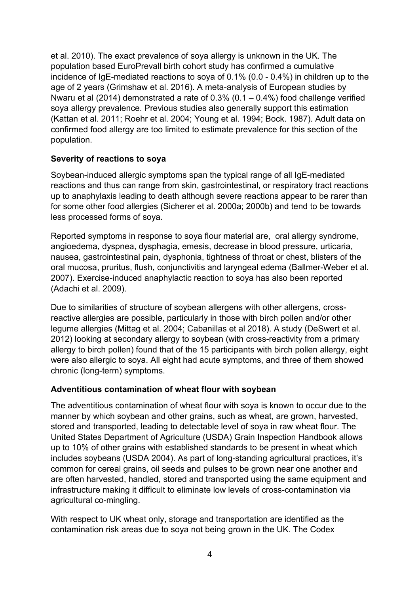et al. 2010). The exact prevalence of soya allergy is unknown in the UK. The population based EuroPrevall birth cohort study has confirmed a cumulative incidence of IgE-mediated reactions to soya of 0.1% (0.0 - 0.4%) in children up to the age of 2 years (Grimshaw et al. 2016). A meta-analysis of European studies by Nwaru et al (2014) demonstrated a rate of 0.3% (0.1 – 0.4%) food challenge verified soya allergy prevalence. Previous studies also generally support this estimation (Kattan et al. 2011; Roehr et al. 2004; Young et al. 1994; Bock. 1987). Adult data on confirmed food allergy are too limited to estimate prevalence for this section of the population.

## **Severity of reactions to soya**

Soybean-induced allergic symptoms span the typical range of all IgE-mediated reactions and thus can range from skin, gastrointestinal, or respiratory tract reactions up to anaphylaxis leading to death although severe reactions appear to be rarer than for some other food allergies (Sicherer et al. 2000a; 2000b) and tend to be towards less processed forms of soya.

Reported symptoms in response to soya flour material are, oral allergy syndrome, angioedema, dyspnea, dysphagia, emesis, decrease in blood pressure, urticaria, nausea, gastrointestinal pain, dysphonia, tightness of throat or chest, blisters of the oral mucosa, pruritus, flush, conjunctivitis and laryngeal edema (Ballmer-Weber et al. 2007). Exercise-induced anaphylactic reaction to soya has also been reported (Adachi et al. 2009).

Due to similarities of structure of soybean allergens with other allergens, crossreactive allergies are possible, particularly in those with birch pollen and/or other legume allergies (Mittag et al. 2004; Cabanillas et al 2018). A study (DeSwert et al. 2012) looking at secondary allergy to soybean (with cross-reactivity from a primary allergy to birch pollen) found that of the 15 participants with birch pollen allergy, eight were also allergic to soya. All eight had acute symptoms, and three of them showed chronic (long-term) symptoms.

### **Adventitious contamination of wheat flour with soybean**

The adventitious contamination of wheat flour with soya is known to occur due to the manner by which soybean and other grains, such as wheat, are grown, harvested, stored and transported, leading to detectable level of soya in raw wheat flour. The United States Department of Agriculture (USDA) Grain Inspection Handbook allows up to 10% of other grains with established standards to be present in wheat which includes soybeans (USDA 2004). As part of long-standing agricultural practices, it's common for cereal grains, oil seeds and pulses to be grown near one another and are often harvested, handled, stored and transported using the same equipment and infrastructure making it difficult to eliminate low levels of cross-contamination via agricultural co-mingling.

With respect to UK wheat only, storage and transportation are identified as the contamination risk areas due to soya not being grown in the UK. The Codex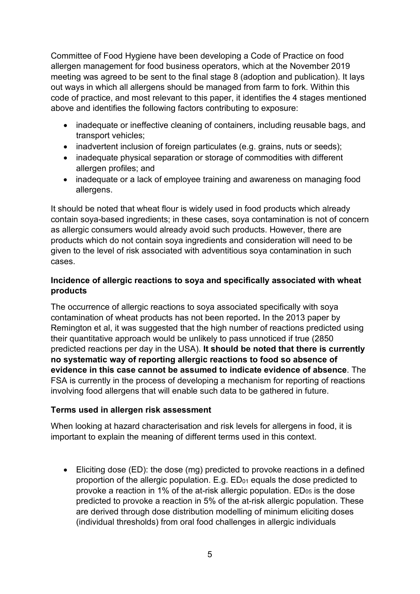Committee of Food Hygiene have been developing a Code of Practice on food allergen management for food business operators, which at the November 2019 meeting was agreed to be sent to the final stage 8 (adoption and publication). It lays out ways in which all allergens should be managed from farm to fork. Within this code of practice, and most relevant to this paper, it identifies the 4 stages mentioned above and identifies the following factors contributing to exposure:

- inadequate or ineffective cleaning of containers, including reusable bags, and transport vehicles;
- inadvertent inclusion of foreign particulates (e.g. grains, nuts or seeds);
- inadequate physical separation or storage of commodities with different allergen profiles; and
- inadequate or a lack of employee training and awareness on managing food allergens.

It should be noted that wheat flour is widely used in food products which already contain soya-based ingredients; in these cases, soya contamination is not of concern as allergic consumers would already avoid such products. However, there are products which do not contain soya ingredients and consideration will need to be given to the level of risk associated with adventitious soya contamination in such cases.

## **Incidence of allergic reactions to soya and specifically associated with wheat products**

The occurrence of allergic reactions to soya associated specifically with soya contamination of wheat products has not been reported**.** In the 2013 paper by Remington et al, it was suggested that the high number of reactions predicted using their quantitative approach would be unlikely to pass unnoticed if true (2850 predicted reactions per day in the USA). **It should be noted that there is currently no systematic way of reporting allergic reactions to food so absence of evidence in this case cannot be assumed to indicate evidence of absence**. The FSA is currently in the process of developing a mechanism for reporting of reactions involving food allergens that will enable such data to be gathered in future.

### **Terms used in allergen risk assessment**

When looking at hazard characterisation and risk levels for allergens in food, it is important to explain the meaning of different terms used in this context.

• Eliciting dose (ED): the dose (mg) predicted to provoke reactions in a defined proportion of the allergic population. E.g.  $ED<sub>01</sub>$  equals the dose predicted to provoke a reaction in 1% of the at-risk allergic population.  $ED_{05}$  is the dose predicted to provoke a reaction in 5% of the at-risk allergic population. These are derived through dose distribution modelling of minimum eliciting doses (individual thresholds) from oral food challenges in allergic individuals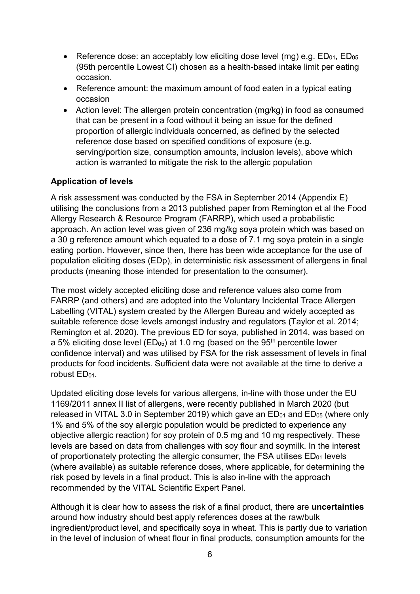- Reference dose: an acceptably low eliciting dose level (mg) e.g.  $ED_{01}$ ,  $ED_{05}$ (95th percentile Lowest CI) chosen as a health-based intake limit per eating occasion.
- Reference amount: the maximum amount of food eaten in a typical eating occasion
- Action level: The allergen protein concentration (mg/kg) in food as consumed that can be present in a food without it being an issue for the defined proportion of allergic individuals concerned, as defined by the selected reference dose based on specified conditions of exposure (e.g. serving/portion size, consumption amounts, inclusion levels), above which action is warranted to mitigate the risk to the allergic population

## **Application of levels**

A risk assessment was conducted by the FSA in September 2014 (Appendix E) utilising the conclusions from a 2013 published paper from Remington et al the Food Allergy Research & Resource Program (FARRP), which used a probabilistic approach. An action level was given of 236 mg/kg soya protein which was based on a 30 g reference amount which equated to a dose of 7.1 mg soya protein in a single eating portion. However, since then, there has been wide acceptance for the use of population eliciting doses (EDp), in deterministic risk assessment of allergens in final products (meaning those intended for presentation to the consumer).

The most widely accepted eliciting dose and reference values also come from FARRP (and others) and are adopted into the Voluntary Incidental Trace Allergen Labelling (VITAL) system created by the Allergen Bureau and widely accepted as suitable reference dose levels amongst industry and regulators (Taylor et al. 2014; Remington et al. 2020). The previous ED for soya, published in 2014, was based on a 5% eliciting dose level ( $ED<sub>05</sub>$ ) at 1.0 mg (based on the 95<sup>th</sup> percentile lower confidence interval) and was utilised by FSA for the risk assessment of levels in final products for food incidents. Sufficient data were not available at the time to derive a robust ED<sub>01</sub>.

Updated eliciting dose levels for various allergens, in-line with those under the EU 1169/2011 annex II list of allergens, were recently published in March 2020 (but released in VITAL 3.0 in September 2019) which gave an  $ED_{01}$  and  $ED_{05}$  (where only 1% and 5% of the soy allergic population would be predicted to experience any objective allergic reaction) for soy protein of 0.5 mg and 10 mg respectively. These levels are based on data from challenges with soy flour and soymilk. In the interest of proportionately protecting the allergic consumer, the FSA utilises  $ED_{01}$  levels (where available) as suitable reference doses, where applicable, for determining the risk posed by levels in a final product. This is also in-line with the approach recommended by the VITAL Scientific Expert Panel.

Although it is clear how to assess the risk of a final product, there are **uncertainties** around how industry should best apply references doses at the raw/bulk ingredient/product level, and specifically soya in wheat. This is partly due to variation in the level of inclusion of wheat flour in final products, consumption amounts for the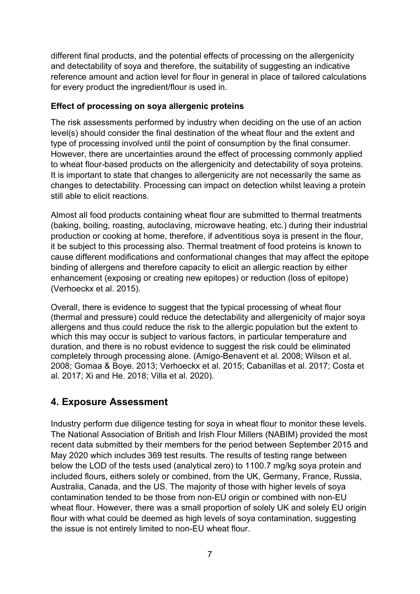different final products, and the potential effects of processing on the allergenicity and detectability of soya and therefore, the suitability of suggesting an indicative reference amount and action level for flour in general in place of tailored calculations for every product the ingredient/flour is used in.

### **Effect of processing on soya allergenic proteins**

The risk assessments performed by industry when deciding on the use of an action level(s) should consider the final destination of the wheat flour and the extent and type of processing involved until the point of consumption by the final consumer. However, there are uncertainties around the effect of processing commonly applied to wheat flour-based products on the allergenicity and detectability of soya proteins. It is important to state that changes to allergenicity are not necessarily the same as changes to detectability. Processing can impact on detection whilst leaving a protein still able to elicit reactions.

Almost all food products containing wheat flour are submitted to thermal treatments (baking, boiling, roasting, autoclaving, microwave heating, etc.) during their industrial production or cooking at home, therefore, if adventitious soya is present in the flour, it be subject to this processing also. Thermal treatment of food proteins is known to cause different modifications and conformational changes that may affect the epitope binding of allergens and therefore capacity to elicit an allergic reaction by either enhancement (exposing or creating new epitopes) or reduction (loss of epitope) (Verhoeckx et al. 2015).

Overall, there is evidence to suggest that the typical processing of wheat flour (thermal and pressure) could reduce the detectability and allergenicity of major soya allergens and thus could reduce the risk to the allergic population but the extent to which this may occur is subject to various factors, in particular temperature and duration, and there is no robust evidence to suggest the risk could be eliminated completely through processing alone. (Amigo-Benavent et al. 2008; Wilson et al. 2008; Gomaa & Boye. 2013; Verhoeckx et al. 2015; Cabanillas et al. 2017; Costa et al. 2017; Xi and He. 2018; Villa et al. 2020).

## **4. Exposure Assessment**

Industry perform due diligence testing for soya in wheat flour to monitor these levels. The National Association of British and Irish Flour Millers (NABIM) provided the most recent data submitted by their members for the period between September 2015 and May 2020 which includes 369 test results. The results of testing range between below the LOD of the tests used (analytical zero) to 1100.7 mg/kg soya protein and included flours, eithers solely or combined, from the UK, Germany, France, Russia, Australia, Canada, and the US. The majority of those with higher levels of soya contamination tended to be those from non-EU origin or combined with non-EU wheat flour. However, there was a small proportion of solely UK and solely EU origin flour with what could be deemed as high levels of soya contamination, suggesting the issue is not entirely limited to non-EU wheat flour.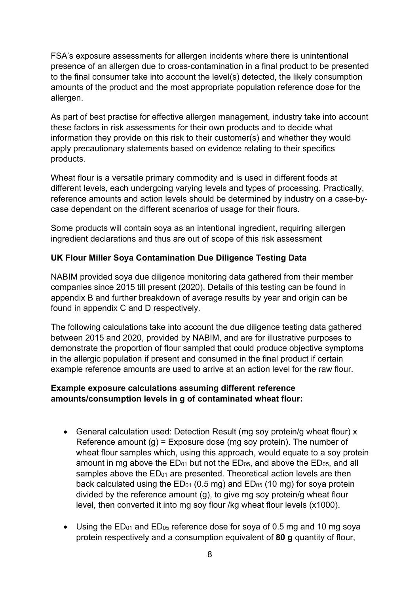FSA's exposure assessments for allergen incidents where there is unintentional presence of an allergen due to cross-contamination in a final product to be presented to the final consumer take into account the level(s) detected, the likely consumption amounts of the product and the most appropriate population reference dose for the allergen.

As part of best practise for effective allergen management, industry take into account these factors in risk assessments for their own products and to decide what information they provide on this risk to their customer(s) and whether they would apply precautionary statements based on evidence relating to their specifics products.

Wheat flour is a versatile primary commodity and is used in different foods at different levels, each undergoing varying levels and types of processing. Practically, reference amounts and action levels should be determined by industry on a case-bycase dependant on the different scenarios of usage for their flours.

Some products will contain soya as an intentional ingredient, requiring allergen ingredient declarations and thus are out of scope of this risk assessment

## **UK Flour Miller Soya Contamination Due Diligence Testing Data**

NABIM provided soya due diligence monitoring data gathered from their member companies since 2015 till present (2020). Details of this testing can be found in appendix B and further breakdown of average results by year and origin can be found in appendix C and D respectively.

The following calculations take into account the due diligence testing data gathered between 2015 and 2020, provided by NABIM, and are for illustrative purposes to demonstrate the proportion of flour sampled that could produce objective symptoms in the allergic population if present and consumed in the final product if certain example reference amounts are used to arrive at an action level for the raw flour.

### **Example exposure calculations assuming different reference amounts/consumption levels in g of contaminated wheat flour:**

- General calculation used: Detection Result (mg soy protein/g wheat flour) x Reference amount  $(q)$  = Exposure dose (mg soy protein). The number of wheat flour samples which, using this approach, would equate to a soy protein amount in mg above the  $ED_{01}$  but not the  $ED_{05}$ , and above the  $ED_{05}$ , and all samples above the ED<sub>01</sub> are presented. Theoretical action levels are then back calculated using the  $ED_{01}$  (0.5 mg) and  $ED_{05}$  (10 mg) for soya protein divided by the reference amount (g), to give mg soy protein/g wheat flour level, then converted it into mg soy flour /kg wheat flour levels (x1000).
- Using the  $ED_{01}$  and  $ED_{05}$  reference dose for soya of 0.5 mg and 10 mg soya protein respectively and a consumption equivalent of **80 g** quantity of flour,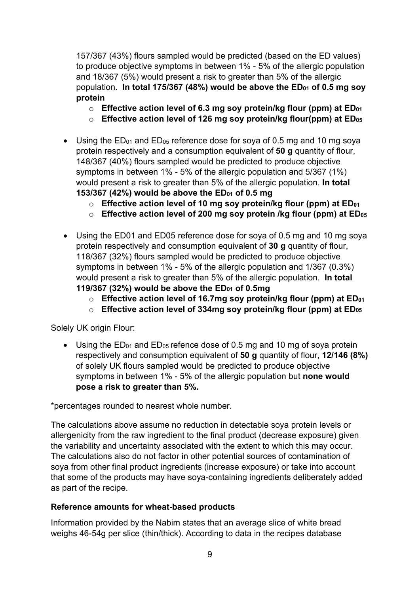157/367 (43%) flours sampled would be predicted (based on the ED values) to produce objective symptoms in between 1% - 5% of the allergic population and 18/367 (5%) would present a risk to greater than 5% of the allergic population. In total 175/367 (48%) would be above the ED<sub>01</sub> of 0.5 mg soy **protein**

- o **Effective action level of 6.3 mg soy protein/kg flour (ppm) at ED01**
- o **Effective action level of 126 mg soy protein/kg flour(ppm) at ED05**
- Using the  $ED_{01}$  and  $ED_{05}$  reference dose for soya of 0.5 mg and 10 mg soya protein respectively and a consumption equivalent of **50 g** quantity of flour, 148/367 (40%) flours sampled would be predicted to produce objective symptoms in between 1% - 5% of the allergic population and 5/367 (1%) would present a risk to greater than 5% of the allergic population. **In total 153/367 (42%) would be above the ED01 of 0.5 mg**
	- o **Effective action level of 10 mg soy protein/kg flour (ppm) at ED01**
	- o **Effective action level of 200 mg soy protein /kg flour (ppm) at ED05**
- Using the ED01 and ED05 reference dose for soya of 0.5 mg and 10 mg soya protein respectively and consumption equivalent of **30 g** quantity of flour, 118/367 (32%) flours sampled would be predicted to produce objective symptoms in between 1% - 5% of the allergic population and 1/367 (0.3%) would present a risk to greater than 5% of the allergic population. **In total 119/367 (32%) would be above the ED01 of 0.5mg**
	- o **Effective action level of 16.7mg soy protein/kg flour (ppm) at ED01**
	- o **Effective action level of 334mg soy protein/kg flour (ppm) at ED05**

Solely UK origin Flour:

• Using the  $ED_{01}$  and  $ED_{05}$  refence dose of 0.5 mg and 10 mg of soya protein respectively and consumption equivalent of **50 g** quantity of flour, **12/146 (8%)** of solely UK flours sampled would be predicted to produce objective symptoms in between 1% - 5% of the allergic population but **none would pose a risk to greater than 5%.**

\*percentages rounded to nearest whole number.

The calculations above assume no reduction in detectable soya protein levels or allergenicity from the raw ingredient to the final product (decrease exposure) given the variability and uncertainty associated with the extent to which this may occur. The calculations also do not factor in other potential sources of contamination of soya from other final product ingredients (increase exposure) or take into account that some of the products may have soya-containing ingredients deliberately added as part of the recipe.

### **Reference amounts for wheat-based products**

Information provided by the Nabim states that an average slice of white bread weighs 46-54g per slice (thin/thick). According to data in the recipes database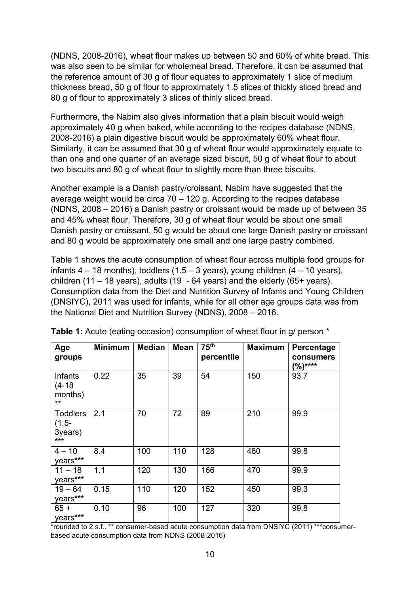(NDNS, 2008-2016), wheat flour makes up between 50 and 60% of white bread. This was also seen to be similar for wholemeal bread. Therefore, it can be assumed that the reference amount of 30 g of flour equates to approximately 1 slice of medium thickness bread, 50 g of flour to approximately 1.5 slices of thickly sliced bread and 80 g of flour to approximately 3 slices of thinly sliced bread.

Furthermore, the Nabim also gives information that a plain biscuit would weigh approximately 40 g when baked, while according to the recipes database (NDNS, 2008-2016) a plain digestive biscuit would be approximately 60% wheat flour. Similarly, it can be assumed that 30 g of wheat flour would approximately equate to than one and one quarter of an average sized biscuit, 50 g of wheat flour to about two biscuits and 80 g of wheat flour to slightly more than three biscuits.

Another example is a Danish pastry/croissant, Nabim have suggested that the average weight would be circa 70 – 120 g. According to the recipes database (NDNS, 2008 – 2016) a Danish pastry or croissant would be made up of between 35 and 45% wheat flour. Therefore, 30 g of wheat flour would be about one small Danish pastry or croissant, 50 g would be about one large Danish pastry or croissant and 80 g would be approximately one small and one large pastry combined.

Table 1 shows the acute consumption of wheat flour across multiple food groups for infants  $4 - 18$  months), toddlers (1.5 – 3 years), young children (4 – 10 years), children (11 – 18 years), adults (19 - 64 years) and the elderly (65+ years). Consumption data from the Diet and Nutrition Survey of Infants and Young Children (DNSIYC), 2011 was used for infants, while for all other age groups data was from the National Diet and Nutrition Survey (NDNS), 2008 – 2016.

| Age<br>groups                                   | <b>Minimum</b> | <b>Median</b> | <b>Mean</b> | 75 <sup>th</sup><br>percentile | <b>Maximum</b> | Percentage<br>consumers<br>$\binom{0}{0}$ **** |
|-------------------------------------------------|----------------|---------------|-------------|--------------------------------|----------------|------------------------------------------------|
| Infants<br>$(4-18)$<br>months)<br>$***$         | 0.22           | 35            | 39          | 54                             | 150            | 93.7                                           |
| <b>Toddlers</b><br>$(1.5 -$<br>3years)<br>$***$ | 2.1            | 70            | 72          | 89                             | 210            | 99.9                                           |
| $4 - 10$<br>years***                            | 8.4            | 100           | 110         | 128                            | 480            | 99.8                                           |
| $11 - 18$<br>years***                           | 1.1            | 120           | 130         | 166                            | 470            | 99.9                                           |
| $19 - 64$<br>years***                           | 0.15           | 110           | 120         | 152                            | 450            | 99.3                                           |
| $65 +$<br>years***                              | 0.10           | 96            | 100         | 127                            | 320            | 99.8                                           |

**Table 1:** Acute (eating occasion) consumption of wheat flour in g/ person \*

\*rounded to 2 s.f.. \*\* consumer-based acute consumption data from DNSIYC (2011) \*\*\*consumerbased acute consumption data from NDNS (2008-2016)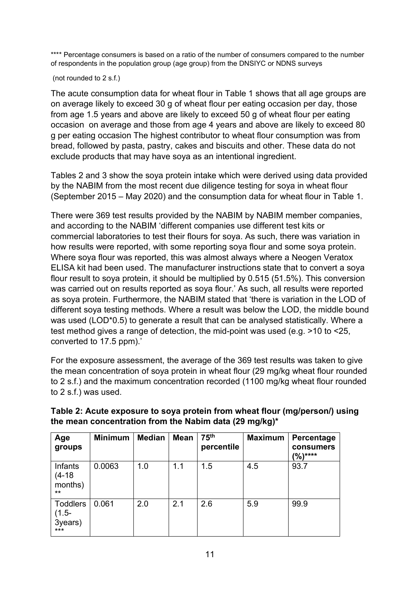\*\*\*\* Percentage consumers is based on a ratio of the number of consumers compared to the number of respondents in the population group (age group) from the DNSIYC or NDNS surveys

(not rounded to 2 s.f.)

The acute consumption data for wheat flour in Table 1 shows that all age groups are on average likely to exceed 30 g of wheat flour per eating occasion per day, those from age 1.5 years and above are likely to exceed 50 g of wheat flour per eating occasion on average and those from age 4 years and above are likely to exceed 80 g per eating occasion The highest contributor to wheat flour consumption was from bread, followed by pasta, pastry, cakes and biscuits and other. These data do not exclude products that may have soya as an intentional ingredient.

Tables 2 and 3 show the soya protein intake which were derived using data provided by the NABIM from the most recent due diligence testing for soya in wheat flour (September 2015 – May 2020) and the consumption data for wheat flour in Table 1.

There were 369 test results provided by the NABIM by NABIM member companies, and according to the NABIM 'different companies use different test kits or commercial laboratories to test their flours for soya. As such, there was variation in how results were reported, with some reporting soya flour and some soya protein. Where soya flour was reported, this was almost always where a Neogen Veratox ELISA kit had been used. The manufacturer instructions state that to convert a soya flour result to soya protein, it should be multiplied by 0.515 (51.5%). This conversion was carried out on results reported as soya flour.' As such, all results were reported as soya protein. Furthermore, the NABIM stated that 'there is variation in the LOD of different soya testing methods. Where a result was below the LOD, the middle bound was used (LOD<sup>\*</sup>0.5) to generate a result that can be analysed statistically. Where a test method gives a range of detection, the mid-point was used (e.g. >10 to <25, converted to 17.5 ppm).'

For the exposure assessment, the average of the 369 test results was taken to give the mean concentration of soya protein in wheat flour (29 mg/kg wheat flour rounded to 2 s.f.) and the maximum concentration recorded (1100 mg/kg wheat flour rounded to 2 s.f.) was used.

| Age<br>groups                                   | <b>Minimum</b> | <b>Median</b> | <b>Mean</b> | 75 <sup>th</sup><br>percentile | <b>Maximum</b> | Percentage<br>consumers<br>$\binom{0}{0}$ **** |
|-------------------------------------------------|----------------|---------------|-------------|--------------------------------|----------------|------------------------------------------------|
| Infants<br>$(4-18)$<br>months)<br>$***$         | 0.0063         | 1.0           | 1.1         | 1.5                            | 4.5            | 93.7                                           |
| <b>Toddlers</b><br>$(1.5 -$<br>3years)<br>$***$ | 0.061          | 2.0           | 2.1         | 2.6                            | 5.9            | 99.9                                           |

## **Table 2: Acute exposure to soya protein from wheat flour (mg/person/) using the mean concentration from the Nabim data (29 mg/kg)\***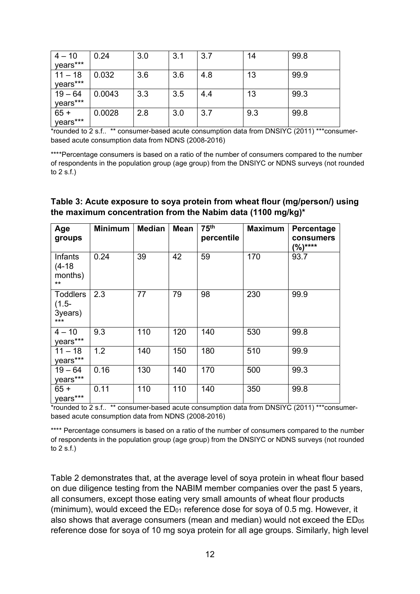| $4 - 10$  | 0.24   | 3.0 | 3.1 | 3.7 | 14  | 99.8 |
|-----------|--------|-----|-----|-----|-----|------|
| years***  |        |     |     |     |     |      |
| $11 - 18$ | 0.032  | 3.6 | 3.6 | 4.8 | 13  | 99.9 |
| years***  |        |     |     |     |     |      |
| $19 - 64$ | 0.0043 | 3.3 | 3.5 | 4.4 | 13  | 99.3 |
| years***  |        |     |     |     |     |      |
| $65 +$    | 0.0028 | 2.8 | 3.0 | 3.7 | 9.3 | 99.8 |
| years***  |        |     |     |     |     |      |

\*rounded to 2 s.f.. \*\* consumer-based acute consumption data from DNSIYC (2011) \*\*\*consumerbased acute consumption data from NDNS (2008-2016)

\*\*\*\*Percentage consumers is based on a ratio of the number of consumers compared to the number of respondents in the population group (age group) from the DNSIYC or NDNS surveys (not rounded to 2 s.f.)

### **Table 3: Acute exposure to soya protein from wheat flour (mg/person/) using the maximum concentration from the Nabim data (1100 mg/kg)\***

| Age<br>groups                                   | <b>Minimum</b> | <b>Median</b> | <b>Mean</b> | 75 <sup>th</sup><br>percentile | <b>Maximum</b> | Percentage<br>consumers<br>$(%)***$ |
|-------------------------------------------------|----------------|---------------|-------------|--------------------------------|----------------|-------------------------------------|
| Infants<br>$(4-18)$<br>months)<br>$***$         | 0.24           | 39            | 42          | 59                             | 170            | 93.7                                |
| <b>Toddlers</b><br>$(1.5 -$<br>3years)<br>$***$ | 2.3            | 77            | 79          | 98                             | 230            | 99.9                                |
| $4 - 10$<br>years***                            | 9.3            | 110           | 120         | 140                            | 530            | 99.8                                |
| $11 - 18$<br>years***                           | 1.2            | 140           | 150         | 180                            | 510            | 99.9                                |
| $19 - 64$<br>years***                           | 0.16           | 130           | 140         | 170                            | 500            | 99.3                                |
| $65 +$<br>years***                              | 0.11           | 110           | 110         | 140                            | 350            | 99.8                                |

\*rounded to 2 s.f.. \*\* consumer-based acute consumption data from DNSIYC (2011) \*\*\*consumerbased acute consumption data from NDNS (2008-2016)

\*\*\*\* Percentage consumers is based on a ratio of the number of consumers compared to the number of respondents in the population group (age group) from the DNSIYC or NDNS surveys (not rounded to  $2 s.f.$ )

Table 2 demonstrates that, at the average level of soya protein in wheat flour based on due diligence testing from the NABIM member companies over the past 5 years, all consumers, except those eating very small amounts of wheat flour products (minimum), would exceed the  $ED<sub>01</sub>$  reference dose for soya of 0.5 mg. However, it also shows that average consumers (mean and median) would not exceed the ED<sub>05</sub> reference dose for soya of 10 mg soya protein for all age groups. Similarly, high level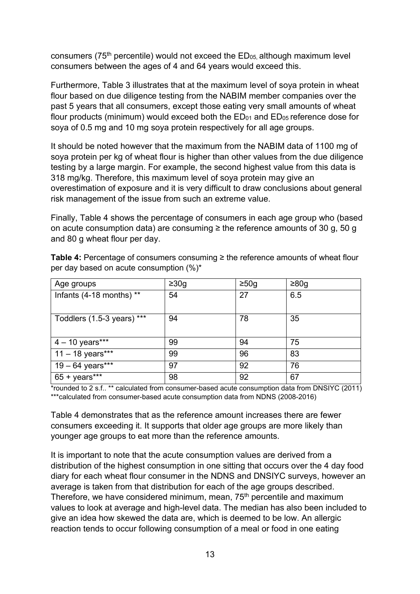consumers ( $75<sup>th</sup>$  percentile) would not exceed the  $ED<sub>05</sub>$  although maximum level consumers between the ages of 4 and 64 years would exceed this.

Furthermore, Table 3 illustrates that at the maximum level of soya protein in wheat flour based on due diligence testing from the NABIM member companies over the past 5 years that all consumers, except those eating very small amounts of wheat flour products (minimum) would exceed both the  $ED<sub>01</sub>$  and  $ED<sub>05</sub>$  reference dose for soya of 0.5 mg and 10 mg soya protein respectively for all age groups.

It should be noted however that the maximum from the NABIM data of 1100 mg of soya protein per kg of wheat flour is higher than other values from the due diligence testing by a large margin. For example, the second highest value from this data is 318 mg/kg. Therefore, this maximum level of soya protein may give an overestimation of exposure and it is very difficult to draw conclusions about general risk management of the issue from such an extreme value.

Finally, Table 4 shows the percentage of consumers in each age group who (based on acute consumption data) are consuming  $\geq$  the reference amounts of 30 g, 50 g and 80 g wheat flour per day.

| Age groups                 | $\geq 30g$ | $\geq 50$ g | $\geq 80$ g |
|----------------------------|------------|-------------|-------------|
| Infants (4-18 months) **   | 54         | 27          | 6.5         |
| Toddlers (1.5-3 years) *** | 94         | 78          | 35          |
| $4 - 10$ years***          | 99         | 94          | 75          |
| $11 - 18$ years***         | 99         | 96          | 83          |
| 19 – 64 years***           | 97         | 92          | 76          |
| $65 + \text{years}$ ***    | 98         | 92          | 67          |

**Table 4:** Percentage of consumers consuming ≥ the reference amounts of wheat flour per day based on acute consumption (%)\*

\*rounded to 2 s.f.. \*\* calculated from consumer-based acute consumption data from DNSIYC (2011) \*\*\*calculated from consumer-based acute consumption data from NDNS (2008-2016)

Table 4 demonstrates that as the reference amount increases there are fewer consumers exceeding it. It supports that older age groups are more likely than younger age groups to eat more than the reference amounts.

It is important to note that the acute consumption values are derived from a distribution of the highest consumption in one sitting that occurs over the 4 day food diary for each wheat flour consumer in the NDNS and DNSIYC surveys, however an average is taken from that distribution for each of the age groups described. Therefore, we have considered minimum, mean, 75<sup>th</sup> percentile and maximum values to look at average and high-level data. The median has also been included to give an idea how skewed the data are, which is deemed to be low. An allergic reaction tends to occur following consumption of a meal or food in one eating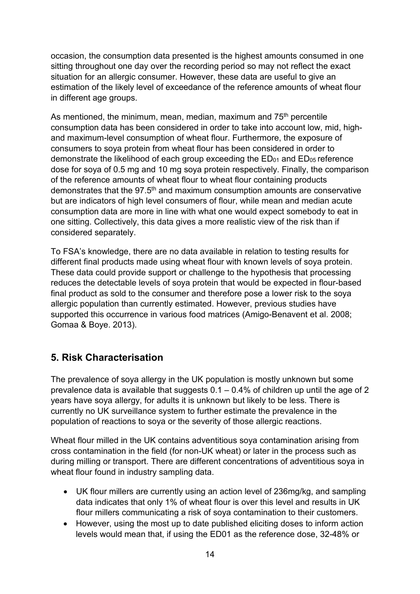occasion, the consumption data presented is the highest amounts consumed in one sitting throughout one day over the recording period so may not reflect the exact situation for an allergic consumer. However, these data are useful to give an estimation of the likely level of exceedance of the reference amounts of wheat flour in different age groups.

As mentioned, the minimum, mean, median, maximum and 75<sup>th</sup> percentile consumption data has been considered in order to take into account low, mid, highand maximum-level consumption of wheat flour. Furthermore, the exposure of consumers to soya protein from wheat flour has been considered in order to demonstrate the likelihood of each group exceeding the  $ED_{01}$  and  $ED_{05}$  reference dose for soya of 0.5 mg and 10 mg soya protein respectively. Finally, the comparison of the reference amounts of wheat flour to wheat flour containing products demonstrates that the 97.5<sup>th</sup> and maximum consumption amounts are conservative but are indicators of high level consumers of flour, while mean and median acute consumption data are more in line with what one would expect somebody to eat in one sitting. Collectively, this data gives a more realistic view of the risk than if considered separately.

To FSA's knowledge, there are no data available in relation to testing results for different final products made using wheat flour with known levels of soya protein. These data could provide support or challenge to the hypothesis that processing reduces the detectable levels of soya protein that would be expected in flour-based final product as sold to the consumer and therefore pose a lower risk to the soya allergic population than currently estimated. However, previous studies have supported this occurrence in various food matrices (Amigo-Benavent et al. 2008; Gomaa & Boye. 2013).

## **5. Risk Characterisation**

The prevalence of soya allergy in the UK population is mostly unknown but some prevalence data is available that suggests  $0.1 - 0.4\%$  of children up until the age of 2 years have soya allergy, for adults it is unknown but likely to be less. There is currently no UK surveillance system to further estimate the prevalence in the population of reactions to soya or the severity of those allergic reactions.

Wheat flour milled in the UK contains adventitious soya contamination arising from cross contamination in the field (for non-UK wheat) or later in the process such as during milling or transport. There are different concentrations of adventitious soya in wheat flour found in industry sampling data.

- UK flour millers are currently using an action level of 236mg/kg, and sampling data indicates that only 1% of wheat flour is over this level and results in UK flour millers communicating a risk of soya contamination to their customers.
- However, using the most up to date published eliciting doses to inform action levels would mean that, if using the ED01 as the reference dose, 32-48% or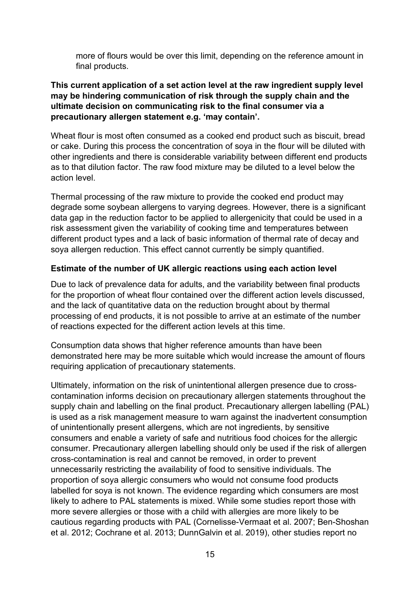more of flours would be over this limit, depending on the reference amount in final products.

### **This current application of a set action level at the raw ingredient supply level may be hindering communication of risk through the supply chain and the ultimate decision on communicating risk to the final consumer via a precautionary allergen statement e.g. 'may contain'.**

Wheat flour is most often consumed as a cooked end product such as biscuit, bread or cake. During this process the concentration of soya in the flour will be diluted with other ingredients and there is considerable variability between different end products as to that dilution factor. The raw food mixture may be diluted to a level below the action level.

Thermal processing of the raw mixture to provide the cooked end product may degrade some soybean allergens to varying degrees. However, there is a significant data gap in the reduction factor to be applied to allergenicity that could be used in a risk assessment given the variability of cooking time and temperatures between different product types and a lack of basic information of thermal rate of decay and soya allergen reduction. This effect cannot currently be simply quantified.

## **Estimate of the number of UK allergic reactions using each action level**

Due to lack of prevalence data for adults, and the variability between final products for the proportion of wheat flour contained over the different action levels discussed, and the lack of quantitative data on the reduction brought about by thermal processing of end products, it is not possible to arrive at an estimate of the number of reactions expected for the different action levels at this time.

Consumption data shows that higher reference amounts than have been demonstrated here may be more suitable which would increase the amount of flours requiring application of precautionary statements.

Ultimately, information on the risk of unintentional allergen presence due to crosscontamination informs decision on precautionary allergen statements throughout the supply chain and labelling on the final product. Precautionary allergen labelling (PAL) is used as a risk management measure to warn against the inadvertent consumption of unintentionally present allergens, which are not ingredients, by sensitive consumers and enable a variety of safe and nutritious food choices for the allergic consumer. Precautionary allergen labelling should only be used if the risk of allergen cross-contamination is real and cannot be removed, in order to prevent unnecessarily restricting the availability of food to sensitive individuals. The proportion of soya allergic consumers who would not consume food products labelled for soya is not known. The evidence regarding which consumers are most likely to adhere to PAL statements is mixed. While some studies report those with more severe allergies or those with a child with allergies are more likely to be cautious regarding products with PAL (Cornelisse-Vermaat et al. 2007; Ben-Shoshan et al. 2012; Cochrane et al. 2013; DunnGalvin et al. 2019), other studies report no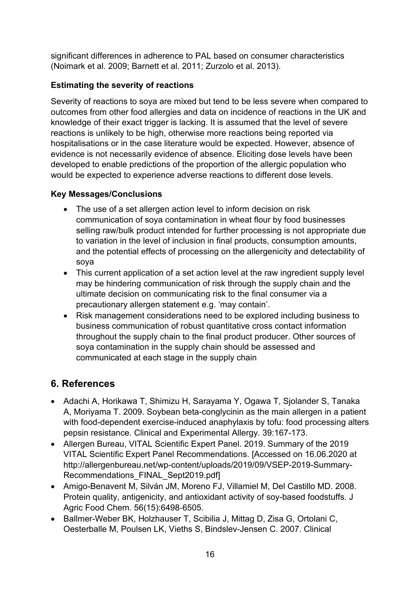significant differences in adherence to PAL based on consumer characteristics (Noimark et al. 2009; Barnett et al. 2011; Zurzolo et al. 2013).

## **Estimating the severity of reactions**

Severity of reactions to soya are mixed but tend to be less severe when compared to outcomes from other food allergies and data on incidence of reactions in the UK and knowledge of their exact trigger is lacking. It is assumed that the level of severe reactions is unlikely to be high, otherwise more reactions being reported via hospitalisations or in the case literature would be expected. However, absence of evidence is not necessarily evidence of absence. Eliciting dose levels have been developed to enable predictions of the proportion of the allergic population who would be expected to experience adverse reactions to different dose levels.

## **Key Messages/Conclusions**

- The use of a set allergen action level to inform decision on risk communication of soya contamination in wheat flour by food businesses selling raw/bulk product intended for further processing is not appropriate due to variation in the level of inclusion in final products, consumption amounts, and the potential effects of processing on the allergenicity and detectability of soya
- This current application of a set action level at the raw ingredient supply level may be hindering communication of risk through the supply chain and the ultimate decision on communicating risk to the final consumer via a precautionary allergen statement e.g. 'may contain'.
- Risk management considerations need to be explored including business to business communication of robust quantitative cross contact information throughout the supply chain to the final product producer. Other sources of soya contamination in the supply chain should be assessed and communicated at each stage in the supply chain

## **6. References**

- Adachi A, Horikawa T, Shimizu H, Sarayama Y, Ogawa T, Sjolander S, Tanaka A, Moriyama T. 2009. Soybean beta-conglycinin as the main allergen in a patient with food-dependent exercise-induced anaphylaxis by tofu: food processing alters pepsin resistance. Clinical and Experimental Allergy. 39:167-173.
- Allergen Bureau, VITAL Scientific Expert Panel. 2019. Summary of the 2019 VITAL Scientific Expert Panel Recommendations. [Accessed on 16.06.2020 at http://allergenbureau.net/wp-content/uploads/2019/09/VSEP-2019-Summary-Recommendations FINAL Sept2019.pdf]
- Amigo-Benavent M, Silván JM, Moreno FJ, Villamiel M, Del Castillo MD. 2008. Protein quality, antigenicity, and antioxidant activity of soy-based foodstuffs. J Agric Food Chem. 56(15):6498‐6505.
- Ballmer-Weber BK, Holzhauser T, Scibilia J, Mittag D, Zisa G, Ortolani C, Oesterballe M, Poulsen LK, Vieths S, Bindslev-Jensen C. 2007. Clinical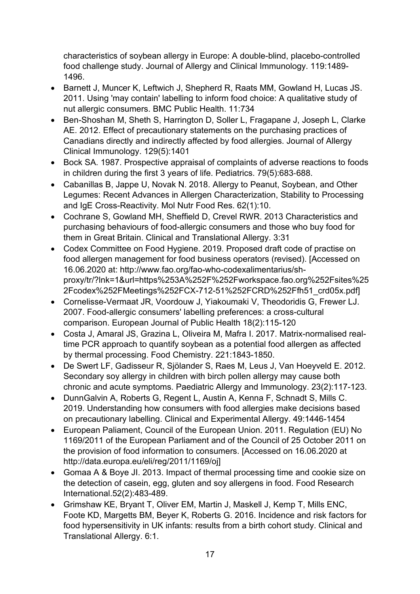characteristics of soybean allergy in Europe: A double-blind, placebo-controlled food challenge study. Journal of Allergy and Clinical Immunology. 119:1489- 1496.

- Barnett J, Muncer K, Leftwich J, Shepherd R, Raats MM, Gowland H, Lucas JS. 2011. Using 'may contain' labelling to inform food choice: A qualitative study of nut allergic consumers. BMC Public Health. 11:734
- Ben-Shoshan M, Sheth S, Harrington D, Soller L, Fragapane J, Joseph L, Clarke AE. 2012. Effect of precautionary statements on the purchasing practices of Canadians directly and indirectly affected by food allergies. Journal of Allergy Clinical Immunology. 129(5):1401
- Bock SA. 1987. Prospective appraisal of complaints of adverse reactions to foods in children during the first 3 years of life. Pediatrics. 79(5):683‐688.
- Cabanillas B, Jappe U, Novak N. 2018. Allergy to Peanut, Soybean, and Other Legumes: Recent Advances in Allergen Characterization, Stability to Processing and IgE Cross-Reactivity. Mol Nutr Food Res. 62(1):10.
- Cochrane S, Gowland MH, Sheffield D, Crevel RWR. 2013 Characteristics and purchasing behaviours of food-allergic consumers and those who buy food for them in Great Britain. Clinical and Translational Allergy. 3:31
- Codex Committee on Food Hygiene. 2019. Proposed draft code of practise on food allergen management for food business operators (revised). [Accessed on 16.06.2020 at: http://www.fao.org/fao-who-codexalimentarius/shproxy/tr/?lnk=1&url=https%253A%252F%252Fworkspace.fao.org%252Fsites%25 2Fcodex%252FMeetings%252FCX-712-51%252FCRD%252Ffh51\_crd05x.pdf]
- Cornelisse-Vermaat JR, Voordouw J, Yiakoumaki V, Theodoridis G, Frewer LJ. 2007. Food-allergic consumers' labelling preferences: a cross-cultural comparison. European Journal of Public Health 18(2):115-120
- Costa J, Amaral JS, Grazina L, Oliveira M, Mafra I. 2017. Matrix-normalised realtime PCR approach to quantify soybean as a potential food allergen as affected by thermal processing. Food Chemistry. 221:1843-1850.
- De Swert LF, Gadisseur R, Sjölander S, Raes M, Leus J, Van Hoeyveld E. 2012. Secondary soy allergy in children with birch pollen allergy may cause both chronic and acute symptoms. Paediatric Allergy and Immunology. 23(2):117-123.
- DunnGalvin A, Roberts G, Regent L, Austin A, Kenna F, Schnadt S, Mills C. 2019. Understanding how consumers with food allergies make decisions based on precautionary labelling. Clinical and Experimental Allergy. 49:1446-1454
- European Paliament, Council of the European Union. 2011. Regulation (EU) No 1169/2011 of the European Parliament and of the Council of 25 October 2011 on the provision of food information to consumers. [Accessed on 16.06.2020 at http://data.europa.eu/eli/reg/2011/1169/oj]
- Gomaa A & Boye JI. 2013. Impact of thermal processing time and cookie size on the detection of casein, egg, gluten and soy allergens in food. Food Research International.52(2):483-489.
- Grimshaw KE, Bryant T, Oliver EM, Martin J, Maskell J, Kemp T, Mills ENC, Foote KD, Margetts BM, Beyer K, Roberts G. 2016. Incidence and risk factors for food hypersensitivity in UK infants: results from a birth cohort study. Clinical and Translational Allergy. 6:1.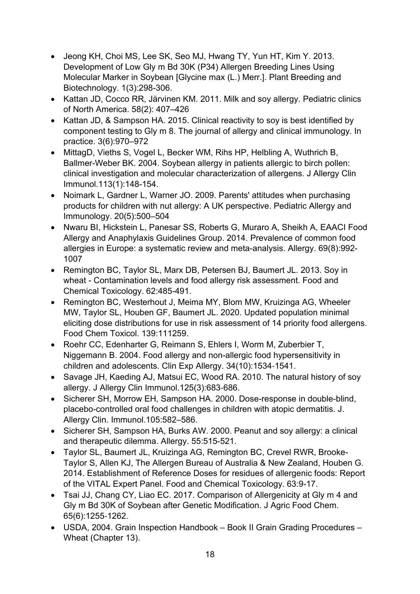- Jeong KH, Choi MS, Lee SK, Seo MJ, Hwang TY, Yun HT, Kim Y. 2013. Development of Low Gly m Bd 30K (P34) Allergen Breeding Lines Using Molecular Marker in Soybean [Glycine max (L.) Merr.]. Plant Breeding and Biotechnology. 1(3):298-306.
- Kattan JD, Cocco RR, Järvinen KM. 2011. Milk and soy allergy. Pediatric clinics of North America. 58(2): 407–426
- Kattan JD, & Sampson HA. 2015. Clinical reactivity to soy is best identified by component testing to Gly m 8. The journal of allergy and clinical immunology. In practice. 3(6):970–972
- MittagD, Vieths S, Vogel L, Becker WM, Rihs HP, Helbling A, Wuthrich B, Ballmer-Weber BK. 2004. Soybean allergy in patients allergic to birch pollen: clinical investigation and molecular characterization of allergens. J Allergy Clin Immunol.113(1):148-154.
- Noimark L, Gardner L, Warner JO. 2009. Parents' attitudes when purchasing products for children with nut allergy: A UK perspective. Pediatric Allergy and Immunology. 20(5):500–504
- Nwaru BI, Hickstein L, Panesar SS, Roberts G, Muraro A, Sheikh A, EAACI Food Allergy and Anaphylaxis Guidelines Group. 2014. Prevalence of common food allergies in Europe: a systematic review and meta-analysis. Allergy. 69(8):992- 1007
- Remington BC, Taylor SL, Marx DB, Petersen BJ, Baumert JL. 2013. Soy in wheat - Contamination levels and food allergy risk assessment. Food and Chemical Toxicology. 62:485-491.
- Remington BC, Westerhout J, Meima MY, Blom MW, Kruizinga AG, Wheeler MW, Taylor SL, Houben GF, Baumert JL. 2020. Updated population minimal eliciting dose distributions for use in risk assessment of 14 priority food allergens. Food Chem Toxicol. 139:111259.
- Roehr CC, Edenharter G, Reimann S, Ehlers I, Worm M, Zuberbier T, Niggemann B. 2004. Food allergy and non-allergic food hypersensitivity in children and adolescents. Clin Exp Allergy. 34(10):1534‐1541.
- Savage JH, Kaeding AJ, Matsui EC, Wood RA. 2010. The natural history of soy allergy. J Allergy Clin Immunol.125(3):683‐686.
- Sicherer SH, Morrow EH, Sampson HA, 2000, Dose-response in double-blind, placebo-controlled oral food challenges in children with atopic dermatitis. J. Allergy Clin. Immunol.105:582–586.
- Sicherer SH, Sampson HA, Burks AW. 2000. Peanut and soy allergy: a clinical and therapeutic dilemma. Allergy. 55:515-521.
- Taylor SL, Baumert JL, Kruizinga AG, Remington BC, Crevel RWR, Brooke-Taylor S, Allen KJ, The Allergen Bureau of Australia & New Zealand, Houben G. 2014. Establishment of Reference Doses for residues of allergenic foods: Report of the VITAL Expert Panel. Food and Chemical Toxicology. 63:9-17.
- Tsai JJ, Chang CY, Liao EC. 2017. Comparison of Allergenicity at Gly m 4 and Gly m Bd 30K of Soybean after Genetic Modification. J Agric Food Chem. 65(6):1255‐1262.
- USDA, 2004. Grain Inspection Handbook Book II Grain Grading Procedures Wheat (Chapter 13).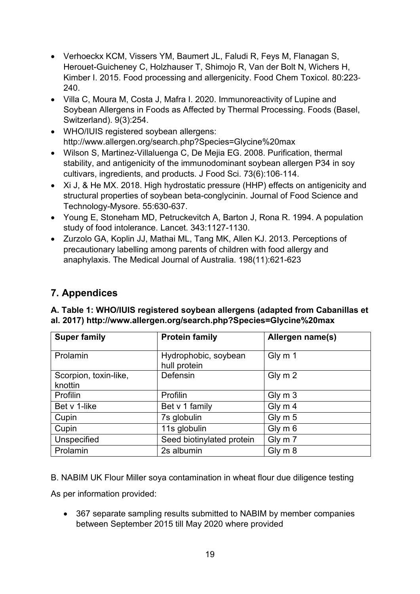- Verhoeckx KCM, Vissers YM, Baumert JL, Faludi R, Feys M, Flanagan S, Herouet-Guicheney C, Holzhauser T, Shimojo R, Van der Bolt N, Wichers H, Kimber I. 2015. Food processing and allergenicity. Food Chem Toxicol. 80:223‐ 240.
- Villa C, Moura M, Costa J, Mafra I. 2020. Immunoreactivity of Lupine and Soybean Allergens in Foods as Affected by Thermal Processing. Foods (Basel, Switzerland). 9(3):254.
- WHO/IUIS registered soybean allergens: http://www.allergen.org/search.php?Species=Glycine%20max
- Wilson S, Martinez-Villaluenga C, De Mejia EG. 2008. Purification, thermal stability, and antigenicity of the immunodominant soybean allergen P34 in soy cultivars, ingredients, and products. J Food Sci. 73(6):106‐114.
- Xi J, & He MX. 2018. High hydrostatic pressure (HHP) effects on antigenicity and structural properties of soybean beta-conglycinin. Journal of Food Science and Technology-Mysore. 55:630-637.
- Young E, Stoneham MD, Petruckevitch A, Barton J, Rona R. 1994. A population study of food intolerance. Lancet. 343:1127-1130.
- Zurzolo GA, Koplin JJ, Mathai ML, Tang MK, Allen KJ. 2013. Perceptions of precautionary labelling among parents of children with food allergy and anaphylaxis. The Medical Journal of Australia. 198(11):621-623

## **7. Appendices**

| <b>Super family</b>              | <b>Protein family</b>                | Allergen name(s) |
|----------------------------------|--------------------------------------|------------------|
| Prolamin                         | Hydrophobic, soybean<br>hull protein | Gly m 1          |
| Scorpion, toxin-like,<br>knottin | Defensin                             | Gly m 2          |
| Profilin                         | Profilin                             | Gly m 3          |
| Bet v 1-like                     | Bet v 1 family                       | Gly m 4          |
| Cupin                            | 7s globulin                          | Gly m 5          |
| Cupin                            | 11s globulin                         | Gly m 6          |
| Unspecified                      | Seed biotinylated protein            | Gly m 7          |
| Prolamin                         | 2s albumin                           | Gly m 8          |

## **A. Table 1: WHO/IUIS registered soybean allergens (adapted from Cabanillas et al. 2017) http://www.allergen.org/search.php?Species=Glycine%20max**

B. NABIM UK Flour Miller soya contamination in wheat flour due diligence testing

As per information provided:

• 367 separate sampling results submitted to NABIM by member companies between September 2015 till May 2020 where provided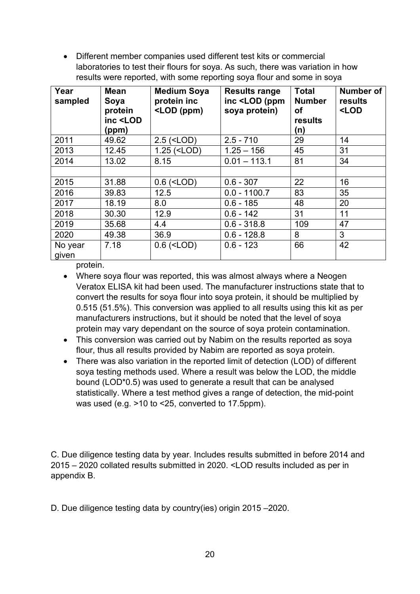• Different member companies used different test kits or commercial laboratories to test their flours for soya. As such, there was variation in how results were reported, with some reporting soya flour and some in soya

| Year<br>sampled  | <b>Mean</b><br>Soya<br>protein<br>inc <lod<br>(ppm)</lod<br> | <b>Medium Soya</b><br>protein inc<br><lod (ppm)<="" th=""><th><b>Results range</b><br/>inc <lod (ppm<br="">soya protein)</lod></th><th><b>Total</b><br/><b>Number</b><br/>οf<br/>results<br/>(n)</th><th><b>Number of</b><br/>results<br/><lod< th=""></lod<></th></lod> | <b>Results range</b><br>inc <lod (ppm<br="">soya protein)</lod> | <b>Total</b><br><b>Number</b><br>οf<br>results<br>(n) | <b>Number of</b><br>results<br><lod< th=""></lod<> |
|------------------|--------------------------------------------------------------|--------------------------------------------------------------------------------------------------------------------------------------------------------------------------------------------------------------------------------------------------------------------------|-----------------------------------------------------------------|-------------------------------------------------------|----------------------------------------------------|
| 2011             | 49.62                                                        | $2.5$ ( <lod)< td=""><td><math>2.5 - 710</math></td><td>29</td><td>14</td></lod)<>                                                                                                                                                                                       | $2.5 - 710$                                                     | 29                                                    | 14                                                 |
| 2013             | 12.45                                                        | $1.25$ ( <lod)< td=""><td><math>1.25 - 156</math></td><td>45</td><td>31</td></lod)<>                                                                                                                                                                                     | $1.25 - 156$                                                    | 45                                                    | 31                                                 |
| 2014             | 13.02                                                        | 8.15                                                                                                                                                                                                                                                                     | $0.01 - 113.1$                                                  | 81                                                    | 34                                                 |
|                  |                                                              |                                                                                                                                                                                                                                                                          |                                                                 |                                                       |                                                    |
| 2015             | 31.88                                                        | $0.6$ ( <lod)< td=""><td><math>0.6 - 307</math></td><td>22</td><td>16</td></lod)<>                                                                                                                                                                                       | $0.6 - 307$                                                     | 22                                                    | 16                                                 |
| 2016             | 39.83                                                        | 12.5                                                                                                                                                                                                                                                                     | $0.0 - 1100.7$                                                  | 83                                                    | 35                                                 |
| 2017             | 18.19                                                        | 8.0                                                                                                                                                                                                                                                                      | $0.6 - 185$                                                     | 48                                                    | 20                                                 |
| 2018             | 30.30                                                        | 12.9                                                                                                                                                                                                                                                                     | $0.6 - 142$                                                     | 31                                                    | 11                                                 |
| 2019             | 35.68                                                        | 4.4                                                                                                                                                                                                                                                                      | $0.6 - 318.8$                                                   | 109                                                   | 47                                                 |
| 2020             | 49.38                                                        | 36.9                                                                                                                                                                                                                                                                     | $0.6 - 128.8$                                                   | 8                                                     | 3                                                  |
| No year<br>given | 7.18                                                         | $0.6$ ( <lod)< td=""><td><math>0.6 - 123</math></td><td>66</td><td>42</td></lod)<>                                                                                                                                                                                       | $0.6 - 123$                                                     | 66                                                    | 42                                                 |

protein.

- Where soya flour was reported, this was almost always where a Neogen Veratox ELISA kit had been used. The manufacturer instructions state that to convert the results for soya flour into soya protein, it should be multiplied by 0.515 (51.5%). This conversion was applied to all results using this kit as per manufacturers instructions, but it should be noted that the level of soya protein may vary dependant on the source of soya protein contamination.
- This conversion was carried out by Nabim on the results reported as soya flour, thus all results provided by Nabim are reported as soya protein.
- There was also variation in the reported limit of detection (LOD) of different soya testing methods used. Where a result was below the LOD, the middle bound (LOD\*0.5) was used to generate a result that can be analysed statistically. Where a test method gives a range of detection, the mid-point was used (e.g. >10 to <25, converted to 17.5ppm).

C. Due diligence testing data by year. Includes results submitted in before 2014 and 2015 – 2020 collated results submitted in 2020. <LOD results included as per in appendix B.

D. Due diligence testing data by country(ies) origin 2015 –2020.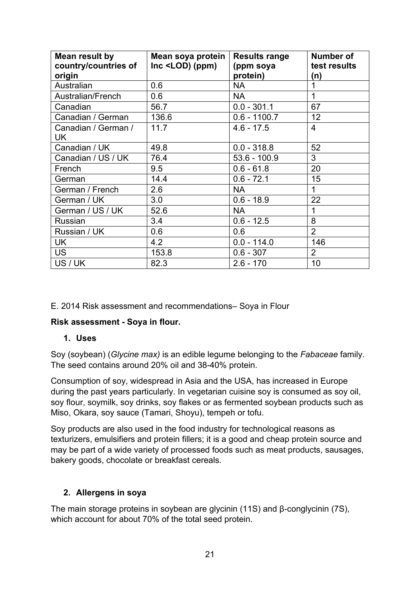| Mean result by<br>country/countries of<br>origin | Mean soya protein<br>$Inc$ <lod<math>) (ppm)</lod<math> | <b>Results range</b><br>(ppm soya<br>protein) | <b>Number of</b><br>test results<br>(n) |
|--------------------------------------------------|---------------------------------------------------------|-----------------------------------------------|-----------------------------------------|
| Australian                                       | 0.6                                                     | <b>NA</b>                                     |                                         |
| Australian/French                                | 0.6                                                     | <b>NA</b>                                     | 1                                       |
| Canadian                                         | 56.7                                                    | $0.0 - 301.1$                                 | 67                                      |
| Canadian / German                                | 136.6                                                   | $0.6 - 1100.7$                                | 12                                      |
| Canadian / German /<br>UK                        | 11.7                                                    | $4.6 - 17.5$                                  | $\overline{4}$                          |
| Canadian / UK                                    | 49.8                                                    | $0.0 - 318.8$                                 | 52                                      |
| Canadian / US / UK                               | 76.4                                                    | $53.6 - 100.9$                                | 3                                       |
| French                                           | 9.5                                                     | $0.6 - 61.8$                                  | 20                                      |
| German                                           | 14.4                                                    | $0.6 - 72.1$                                  | 15                                      |
| German / French                                  | 2.6                                                     | <b>NA</b>                                     | $\mathbf{1}$                            |
| German / UK                                      | 3.0                                                     | $0.6 - 18.9$                                  | 22                                      |
| German / US / UK                                 | 52.6                                                    | <b>NA</b>                                     | 1                                       |
| Russian                                          | 3.4                                                     | $0.6 - 12.5$                                  | 8                                       |
| Russian / UK                                     | 0.6                                                     | 0.6                                           | $\overline{2}$                          |
| UK                                               | 4.2                                                     | $0.0 - 114.0$                                 | 146                                     |
| <b>US</b>                                        | 153.8                                                   | $0.6 - 307$                                   | $\overline{2}$                          |
| US / UK                                          | 82.3                                                    | $2.6 - 170$                                   | 10                                      |

E. 2014 Risk assessment and recommendations– Soya in Flour

### **Risk assessment - Soya in flour.**

#### **1. Uses**

Soy (soybean) (*Glycine max)* is an edible legume belonging to the *Fabaceae* family. The seed contains around 20% oil and 38-40% protein.

Consumption of soy, widespread in Asia and the USA, has increased in Europe during the past years particularly. In vegetarian cuisine soy is consumed as soy oil, soy flour, soymilk, soy drinks, soy flakes or as fermented soybean products such as Miso, Okara, soy sauce (Tamari, Shoyu), tempeh or tofu.

Soy products are also used in the food industry for technological reasons as texturizers, emulsifiers and protein fillers; it is a good and cheap protein source and may be part of a wide variety of processed foods such as meat products, sausages, bakery goods, chocolate or breakfast cereals.

#### **2. Allergens in soya**

The main storage proteins in soybean are glycinin (11S) and β-conglycinin (7S), which account for about 70% of the total seed protein.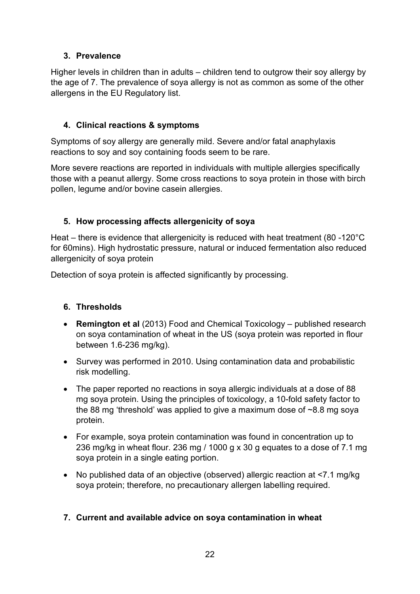## **3. Prevalence**

Higher levels in children than in adults – children tend to outgrow their soy allergy by the age of 7. The prevalence of soya allergy is not as common as some of the other allergens in the EU Regulatory list.

## **4. Clinical reactions & symptoms**

Symptoms of soy allergy are generally mild. Severe and/or fatal anaphylaxis reactions to soy and soy containing foods seem to be rare.

More severe reactions are reported in individuals with multiple allergies specifically those with a peanut allergy. Some cross reactions to soya protein in those with birch pollen, legume and/or bovine casein allergies.

## **5. How processing affects allergenicity of soya**

Heat – there is evidence that allergenicity is reduced with heat treatment (80 -120°C for 60mins). High hydrostatic pressure, natural or induced fermentation also reduced allergenicity of soya protein

Detection of soya protein is affected significantly by processing.

### **6. Thresholds**

- **Remington et al** (2013) Food and Chemical Toxicology published research on soya contamination of wheat in the US (soya protein was reported in flour between 1.6-236 mg/kg).
- Survey was performed in 2010. Using contamination data and probabilistic risk modelling.
- The paper reported no reactions in soya allergic individuals at a dose of 88 mg soya protein. Using the principles of toxicology, a 10-fold safety factor to the 88 mg 'threshold' was applied to give a maximum dose of ~8.8 mg soya protein.
- For example, soya protein contamination was found in concentration up to 236 mg/kg in wheat flour. 236 mg / 1000 g x 30 g equates to a dose of 7.1 mg soya protein in a single eating portion.
- No published data of an objective (observed) allergic reaction at <7.1 mg/kg soya protein; therefore, no precautionary allergen labelling required.

### **7. Current and available advice on soya contamination in wheat**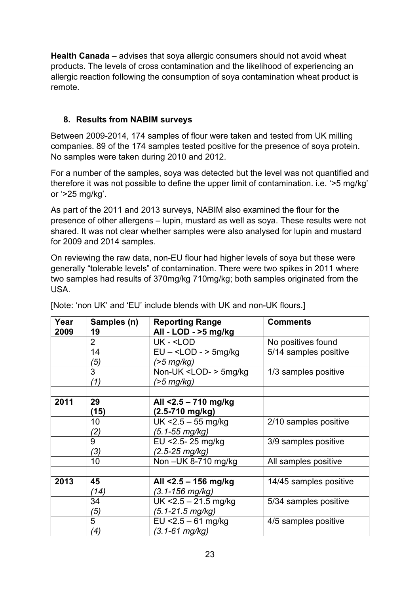**Health Canada** – advises that soya allergic consumers should not avoid wheat products. The levels of cross contamination and the likelihood of experiencing an allergic reaction following the consumption of soya contamination wheat product is remote.

## **8. Results from NABIM surveys**

Between 2009-2014, 174 samples of flour were taken and tested from UK milling companies. 89 of the 174 samples tested positive for the presence of soya protein. No samples were taken during 2010 and 2012.

For a number of the samples, soya was detected but the level was not quantified and therefore it was not possible to define the upper limit of contamination. i.e. '>5 mg/kg' or '>25 mg/kg'.

As part of the 2011 and 2013 surveys, NABIM also examined the flour for the presence of other allergens – lupin, mustard as well as soya. These results were not shared. It was not clear whether samples were also analysed for lupin and mustard for 2009 and 2014 samples.

On reviewing the raw data, non-EU flour had higher levels of soya but these were generally "tolerable levels" of contamination. There were two spikes in 2011 where two samples had results of 370mg/kg 710mg/kg; both samples originated from the USA.

| Year | Samples (n)    | <b>Reporting Range</b>                              | <b>Comments</b>        |
|------|----------------|-----------------------------------------------------|------------------------|
| 2009 | 19             | All - LOD - >5 mg/kg                                |                        |
|      | $\overline{2}$ | UK - <lod< th=""><th>No positives found</th></lod<> | No positives found     |
|      | 14             | $EU -  5mg/kg$                                      | 5/14 samples positive  |
|      | (5)            | $($ >5 mg/kg)                                       |                        |
|      | 3              | Non-UK <lod-> 5mg/kg</lod->                         | 1/3 samples positive   |
|      | (1)            | (>5 mg/kg)                                          |                        |
|      |                |                                                     |                        |
| 2011 | 29             | All <2.5 - 710 mg/kg                                |                        |
|      | (15)           | $(2.5 - 710 \text{ mg/kg})$                         |                        |
|      | 10             | $UK < 2.5 - 55$ mg/kg                               | 2/10 samples positive  |
|      | (2)            | (5.1-55 mg/kg)                                      |                        |
|      | 9              | EU < 2.5 - 25 mg/kg                                 | 3/9 samples positive   |
|      | (3)            | $(2.5 - 25 \, mg/kg)$                               |                        |
|      | 10             | Non - UK 8-710 mg/kg                                | All samples positive   |
|      |                |                                                     |                        |
| 2013 | 45             | All <2.5 - 156 mg/kg                                | 14/45 samples positive |
|      | (14)           | (3.1-156 mg/kg)                                     |                        |
|      | 34             | $UK < 2.5 - 21.5$ mg/kg                             | 5/34 samples positive  |
|      | (5)            | (5.1-21.5 mg/kg)                                    |                        |
|      | 5              | EU $<$ 2.5 – 61 mg/kg                               | 4/5 samples positive   |
|      | (4)            | (3.1-61 mg/kg)                                      |                        |

[Note: 'non UK' and 'EU' include blends with UK and non-UK flours.]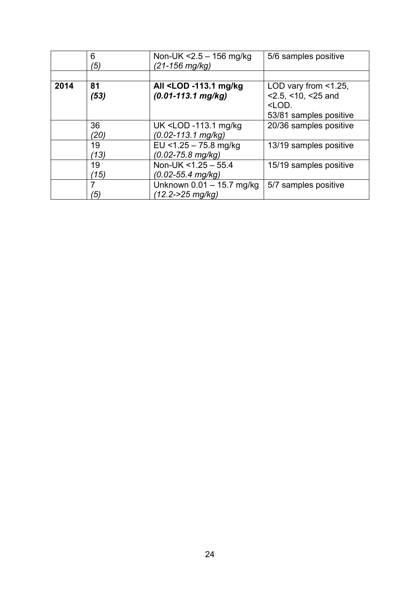|      | 6<br>′5) | Non-UK $<$ 2.5 $-$ 156 mg/kg<br>(21-156 mg/kg)                                             | 5/6 samples positive        |
|------|----------|--------------------------------------------------------------------------------------------|-----------------------------|
|      |          |                                                                                            |                             |
| 2014 | 81       | All <lod -113.1="" kg<="" mg="" th=""><th>LOD vary from <math>\leq 1.25</math>,</th></lod> | LOD vary from $\leq 1.25$ , |
|      | (53)     | $(0.01 - 113.1$ mg/kg)                                                                     | $<$ 2.5, $<$ 10, $<$ 25 and |
|      |          |                                                                                            | <lod.< th=""></lod.<>       |
|      |          |                                                                                            | 53/81 samples positive      |
|      | 36       | UK <lod -113.1="" kg<="" mg="" th=""><th>20/36 samples positive</th></lod>                 | 20/36 samples positive      |
|      | (20)     | (0.02-113.1 mg/kg)                                                                         |                             |
|      | 19       | EU < $1.25 - 75.8$ mg/kg                                                                   | 13/19 samples positive      |
|      | (13)     | (0.02-75.8 mg/kg)                                                                          |                             |
|      | 19       | Non-UK <1.25 - 55.4                                                                        | 15/19 samples positive      |
|      | (15)     | (0.02-55.4 mg/kg)                                                                          |                             |
|      |          | Unknown 0.01 - 15.7 mg/kg                                                                  | 5/7 samples positive        |
|      | ′5)      | (12.2->25 mg/kg)                                                                           |                             |